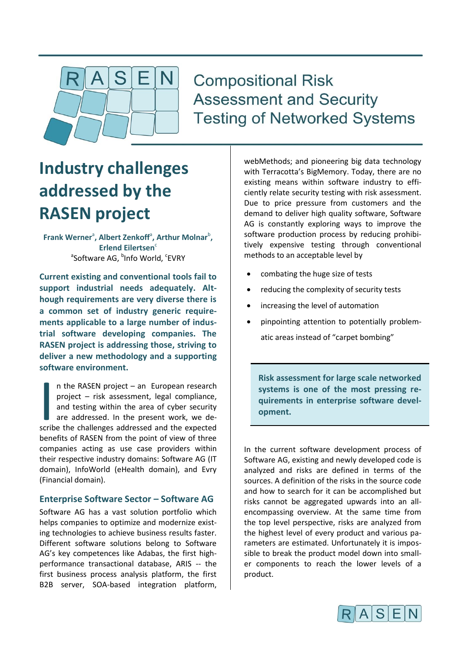

## **Compositional Risk Assessment and Security Testing of Networked Systems**

# **Industry challenges addressed by the RASEN project**

Frank Werner<sup>a</sup>, Albert Zenkoff<sup>a</sup>, Arthur Molnar<sup>b</sup>, **Erlend Eilertsen<sup>c</sup>** <sup>a</sup>Software AG, <sup>b</sup>Info World, <sup>c</sup>EVRY

**Current existing and conventional tools fail to support industrial needs adequately. Although requirements are very diverse there is a common set of industry generic requirements applicable to a large number of industrial software developing companies. The RASEN project is addressing those, striving to deliver a new methodology and a supporting software environment.**

n the RASEN project – an European research project – risk assessment, legal compliance, and testing within the area of cyber security are addressed. In the present work, we den the RASEN project – an European research<br>project – risk assessment, legal compliance,<br>and testing within the area of cyber security<br>are addressed. In the present work, we de-<br>scribe the challenges addressed and the expec benefits of RASEN from the point of view of three companies acting as use case providers within their respective industry domains: Software AG (IT domain), InfoWorld (eHealth domain), and Evry (Financial domain).

#### **Enterprise Software Sector – Software AG**

Software AG has a vast solution portfolio which helps companies to optimize and modernize existing technologies to achieve business results faster. Different software solutions belong to Software AG's key competences like Adabas, the first highperformance transactional database, ARIS -- the first business process analysis platform, the first B2B server, SOA-based integration platform,

webMethods; and pioneering big data technology with Terracotta's BigMemory. Today, there are no existing means within software industry to efficiently relate security testing with risk assessment. Due to price pressure from customers and the demand to deliver high quality software, Software AG is constantly exploring ways to improve the software production process by reducing prohibitively expensive testing through conventional methods to an acceptable level by

- combating the huge size of tests
- reducing the complexity of security tests
- increasing the level of automation
- pinpointing attention to potentially problematic areas instead of "carpet bombing"

**Risk assessment for large scale networked systems is one of the most pressing requirements in enterprise software development.**

In the current software development process of Software AG, existing and newly developed code is analyzed and risks are defined in terms of the sources. A definition of the risks in the source code and how to search for it can be accomplished but risks cannot be aggregated upwards into an allencompassing overview. At the same time from the top level perspective, risks are analyzed from the highest level of every product and various parameters are estimated. Unfortunately it is impossible to break the product model down into smaller components to reach the lower levels of a product.

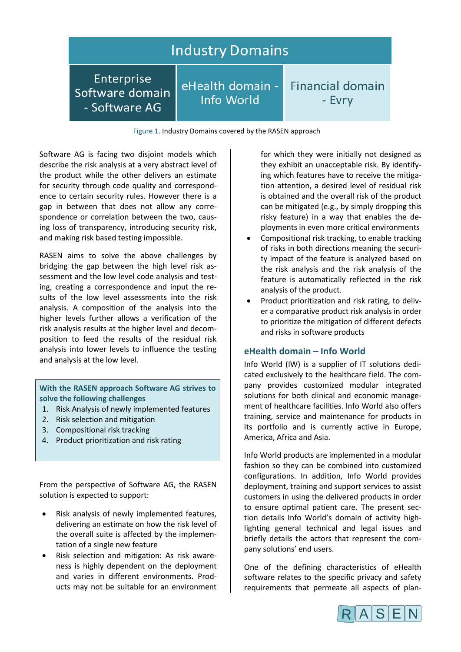### **Industry Domains**

Enterprise Software domain - Software AG

eHealth domain -Info World

**Financial domain** - Evrv

Figure 1. Industry Domains covered by the RASEN approach

Software AG is facing two disjoint models which describe the risk analysis at a very abstract level of the product while the other delivers an estimate for security through code quality and correspondence to certain security rules. However there is a gap in between that does not allow any correspondence or correlation between the two, causing loss of transparency, introducing security risk, and making risk based testing impossible.

RASEN aims to solve the above challenges by bridging the gap between the high level risk assessment and the low level code analysis and testing, creating a correspondence and input the results of the low level assessments into the risk analysis. A composition of the analysis into the higher levels further allows a verification of the risk analysis results at the higher level and decomposition to feed the results of the residual risk analysis into lower levels to influence the testing and analysis at the low level.

**With the RASEN approach Software AG strives to solve the following challenges**

- 1. Risk Analysis of newly implemented features
- 2. Risk selection and mitigation
- 3. Compositional risk tracking
- 4. Product prioritization and risk rating

From the perspective of Software AG, the RASEN solution is expected to support:

- Risk analysis of newly implemented features, delivering an estimate on how the risk level of the overall suite is affected by the implementation of a single new feature
- Risk selection and mitigation: As risk awareness is highly dependent on the deployment and varies in different environments. Products may not be suitable for an environment

for which they were initially not designed as they exhibit an unacceptable risk. By identifying which features have to receive the mitigation attention, a desired level of residual risk is obtained and the overall risk of the product can be mitigated (e.g., by simply dropping this risky feature) in a way that enables the deployments in even more critical environments

- Compositional risk tracking, to enable tracking of risks in both directions meaning the security impact of the feature is analyzed based on the risk analysis and the risk analysis of the feature is automatically reflected in the risk analysis of the product.
- Product prioritization and risk rating, to deliver a comparative product risk analysis in order to prioritize the mitigation of different defects and risks in software products

#### **eHealth domain – Info World**

Info World (IW) is a supplier of IT solutions dedicated exclusively to the healthcare field. The company provides customized modular integrated solutions for both clinical and economic management of healthcare facilities. Info World also offers training, service and maintenance for products in its portfolio and is currently active in Europe, America, Africa and Asia.

Info World products are implemented in a modular fashion so they can be combined into customized configurations. In addition, Info World provides deployment, training and support services to assist customers in using the delivered products in order to ensure optimal patient care. The present section details Info World's domain of activity highlighting general technical and legal issues and briefly details the actors that represent the company solutions' end users.

One of the defining characteristics of eHealth software relates to the specific privacy and safety requirements that permeate all aspects of plan-

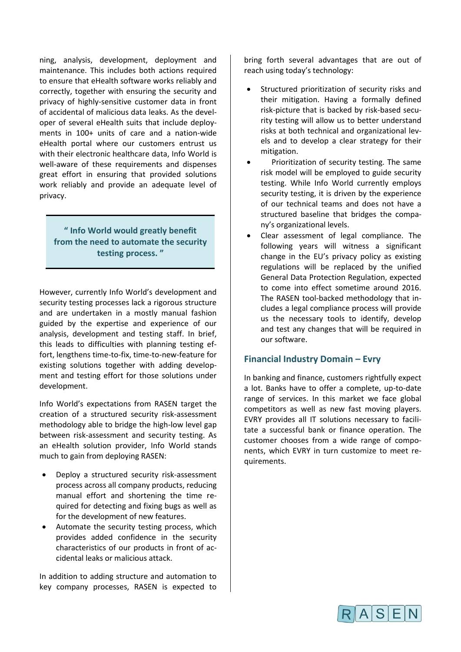ning, analysis, development, deployment and maintenance. This includes both actions required to ensure that eHealth software works reliably and correctly, together with ensuring the security and privacy of highly-sensitive customer data in front of accidental of malicious data leaks. As the developer of several eHealth suits that include deployments in 100+ units of care and a nation-wide eHealth portal where our customers entrust us with their electronic healthcare data, Info World is well-aware of these requirements and dispenses great effort in ensuring that provided solutions work reliably and provide an adequate level of privacy.

**" Info World would greatly benefit from the need to automate the security testing process. "**

However, currently Info World's development and security testing processes lack a rigorous structure and are undertaken in a mostly manual fashion guided by the expertise and experience of our analysis, development and testing staff. In brief, this leads to difficulties with planning testing effort, lengthens time-to-fix, time-to-new-feature for existing solutions together with adding development and testing effort for those solutions under development.

Info World's expectations from RASEN target the creation of a structured security risk-assessment methodology able to bridge the high-low level gap between risk-assessment and security testing. As an eHealth solution provider, Info World stands much to gain from deploying RASEN:

- Deploy a structured security risk-assessment process across all company products, reducing manual effort and shortening the time required for detecting and fixing bugs as well as for the development of new features.
- Automate the security testing process, which provides added confidence in the security characteristics of our products in front of accidental leaks or malicious attack.

In addition to adding structure and automation to key company processes, RASEN is expected to bring forth several advantages that are out of reach using today's technology:

- Structured prioritization of security risks and their mitigation. Having a formally defined risk-picture that is backed by risk-based security testing will allow us to better understand risks at both technical and organizational levels and to develop a clear strategy for their mitigation.
- Prioritization of security testing. The same risk model will be employed to guide security testing. While Info World currently employs security testing, it is driven by the experience of our technical teams and does not have a structured baseline that bridges the company's organizational levels.
- Clear assessment of legal compliance. The following years will witness a significant change in the EU's privacy policy as existing regulations will be replaced by the unified General Data Protection Regulation, expected to come into effect sometime around 2016. The RASEN tool-backed methodology that includes a legal compliance process will provide us the necessary tools to identify, develop and test any changes that will be required in our software.

#### **Financial Industry Domain – Evry**

In banking and finance, customers rightfully expect a lot. Banks have to offer a complete, up-to-date range of services. In this market we face global competitors as well as new fast moving players. EVRY provides all IT solutions necessary to facilitate a successful bank or finance operation. The customer chooses from a wide range of components, which EVRY in turn customize to meet requirements.

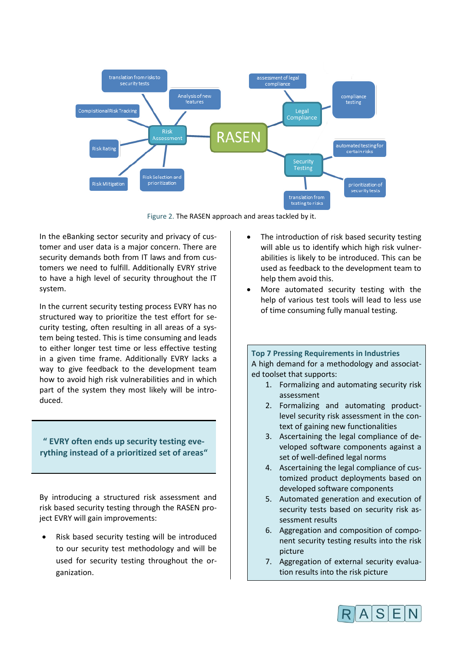

Figure 2. The RASEN approach and areas tackled by it.

In the eBanking sector security and privacy of customer and user data is a major concern. There are security demands both from IT laws and from customers we need to fulfill. Additionally EVRY strive to have a high level of security throughout the IT system.

In the current security testing process EVRY has no structured way to prioritize the test effort for security testing, often resulting in all areas of a system being tested. This is time consuming and leads to either longer test time or less effective testing in a given time frame. Additionally EVRY lacks a way to give feedback to the development team how to avoid high risk vulnerabilities and in which part of the system they most likely will be introduced.

#### **" EVRY often ends up security testing everything instead of a prioritized set of areas"**

By introducing a structured risk assessment and risk based security testing through the RASEN project EVRY will gain improvements:

 Risk based security testing will be introduced to our security test methodology and will be used for security testing throughout the organization.

- The introduction of risk based security testing will able us to identify which high risk vulnerabilities is likely to be introduced. This can be used as feedback to the development team to help them avoid this.
- More automated security testing with the help of various test tools will lead to less use of time consuming fully manual testing.

#### **Top 7 Pressing Requirements in Industries**  A high demand for a methodology and associated toolset that supports:

- 1. Formalizing and automating security risk assessment
- 2. Formalizing and automating productlevel security risk assessment in the context of gaining new functionalities
- 3. Ascertaining the legal compliance of developed software components against a set of well-defined legal norms
- 4. Ascertaining the legal compliance of customized product deployments based on developed software components
- 5. Automated generation and execution of security tests based on security risk assessment results
- 6. Aggregation and composition of component security testing results into the risk picture
- 7. Aggregation of external security evaluation results into the risk picture